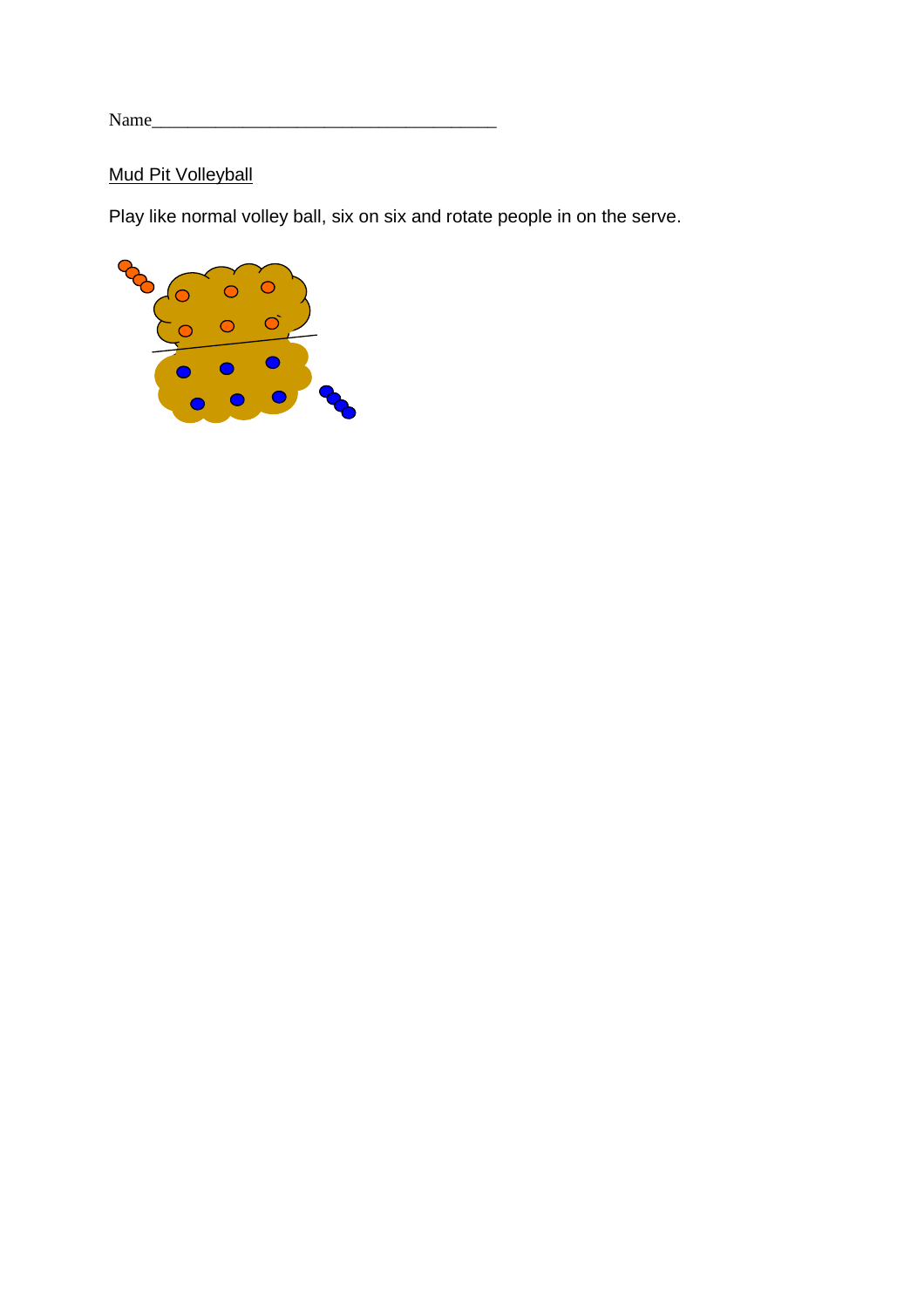# **Mud Pit Volleyball**

Play like normal volley ball, six on six and rotate people in on the serve.

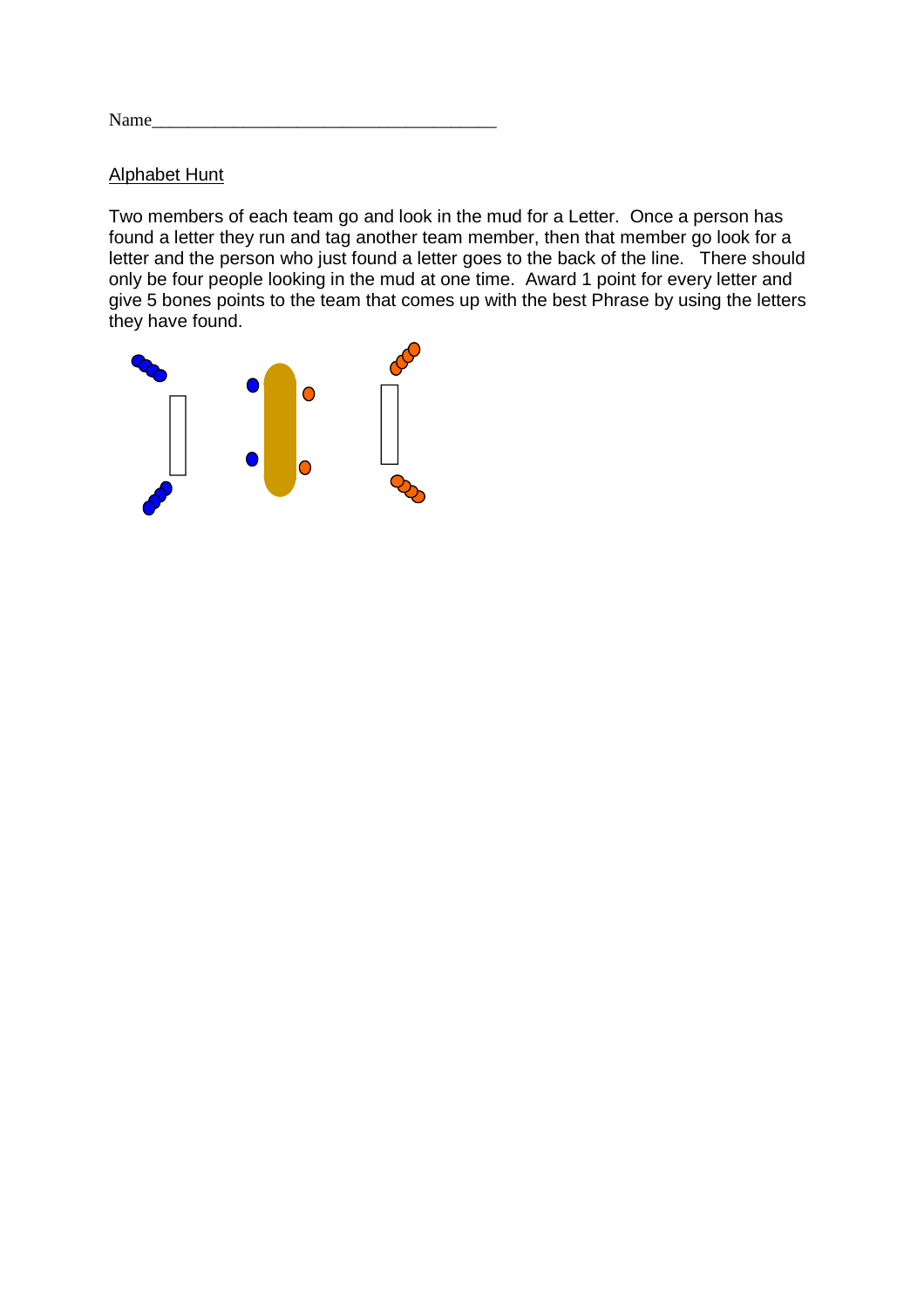$Name_\_$ 

#### Alphabet Hunt

Two members of each team go and look in the mud for a Letter. Once a person has found a letter they run and tag another team member, then that member go look for a letter and the person who just found a letter goes to the back of the line. There should only be four people looking in the mud at one time. Award 1 point for every letter and give 5 bones points to the team that comes up with the best Phrase by using the letters they have found.

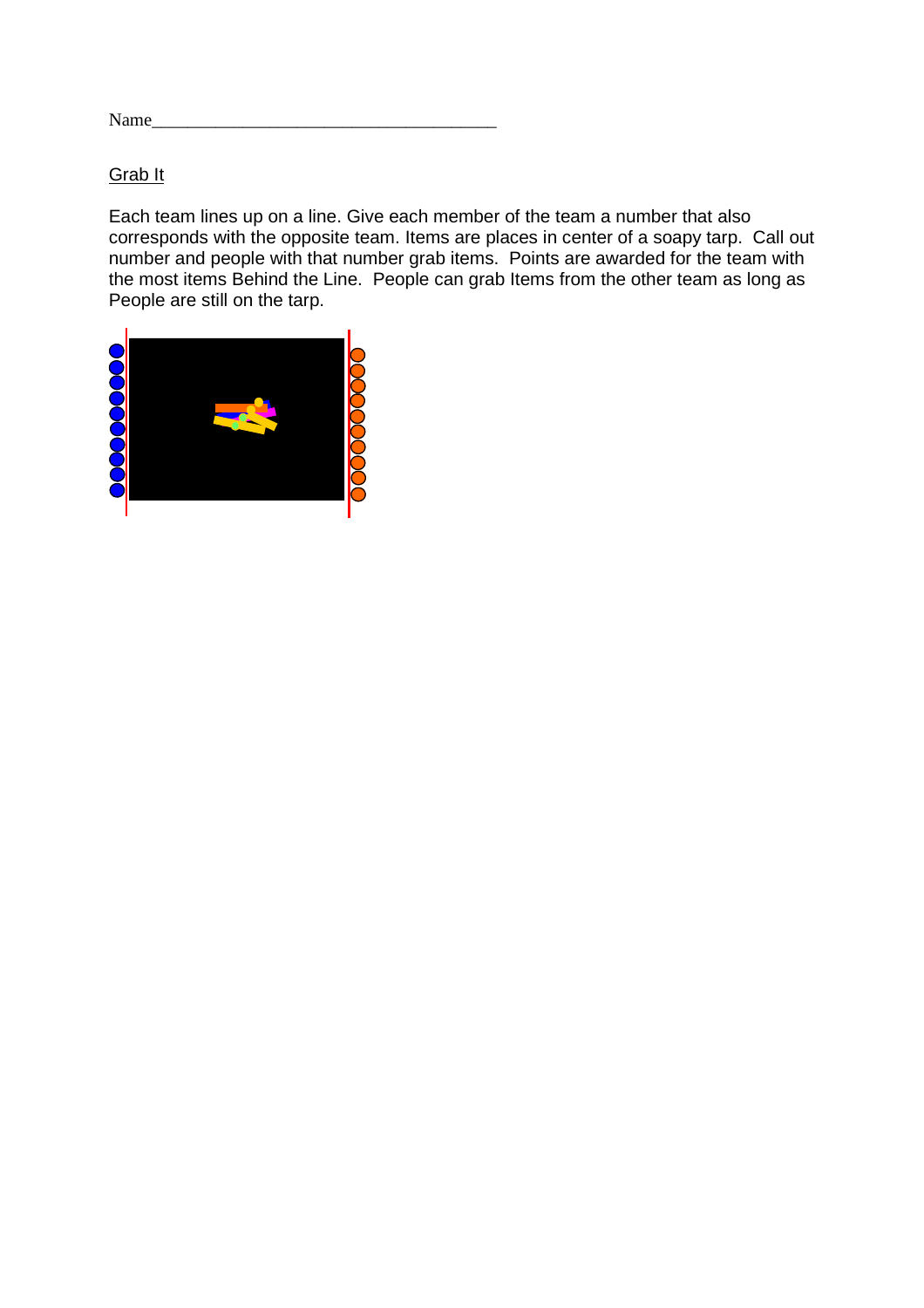Name\_

## Grab It

Each team lines up on a line. Give each member of the team a number that also corresponds with the opposite team. Items are places in center of a soapy tarp. Call out number and people with that number grab items. Points are awarded for the team with the most items Behind the Line. People can grab Items from the other team as long as People are still on the tarp.

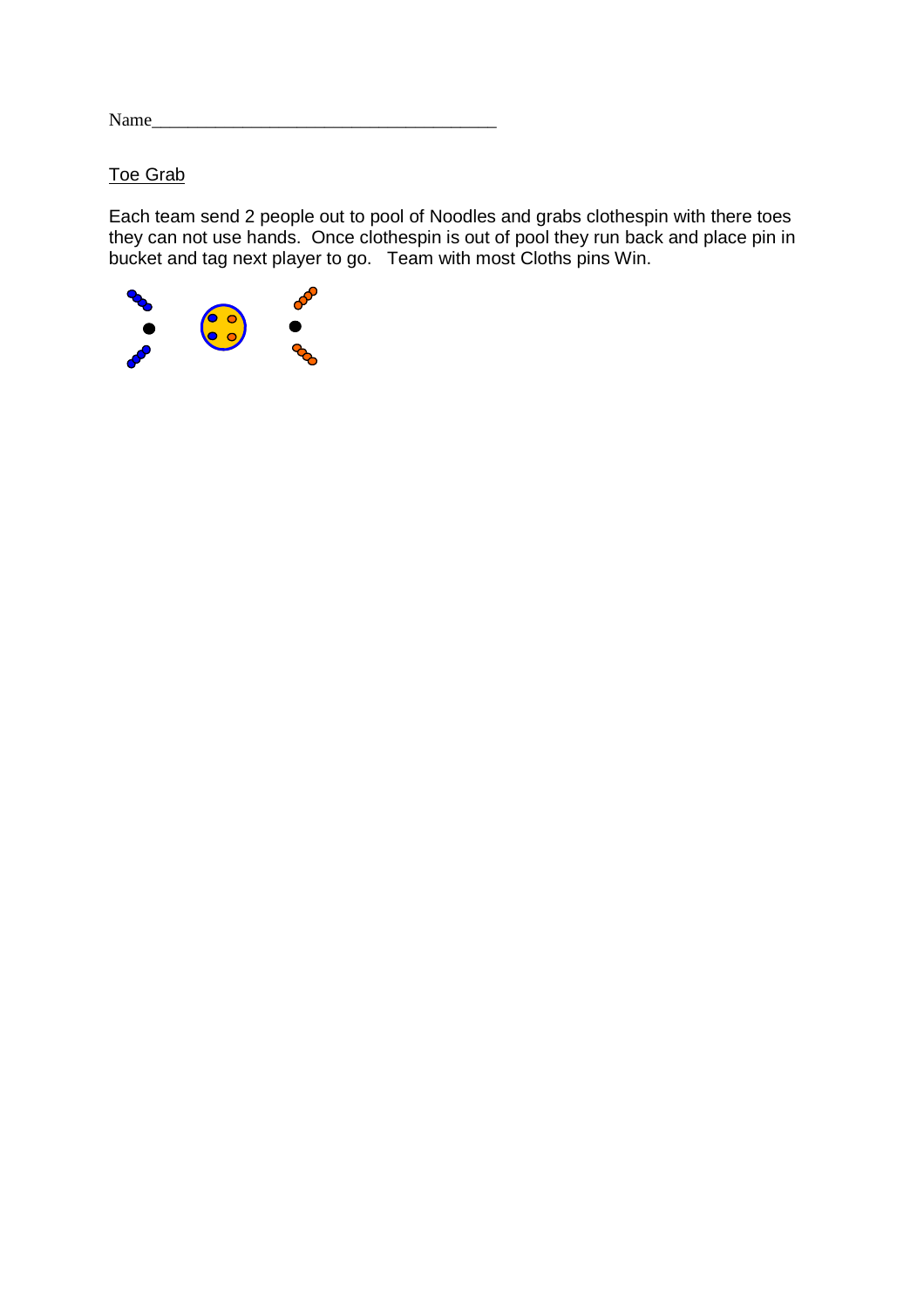## Toe Grab

Each team send 2 people out to pool of Noodles and grabs clothespin with there toes they can not use hands. Once clothespin is out of pool they run back and place pin in bucket and tag next player to go. Team with most Cloths pins Win.

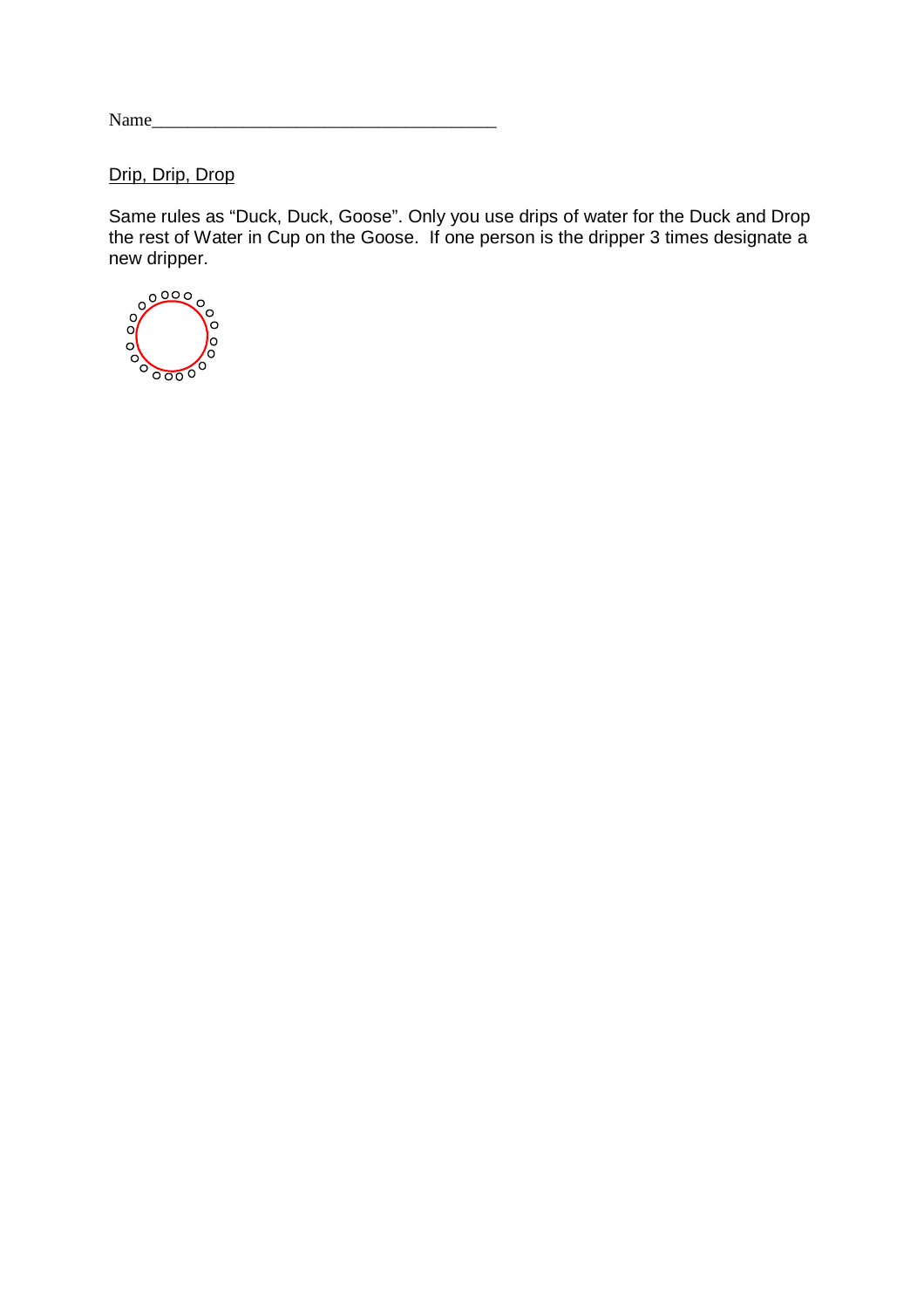Drip, Drip, Drop

Same rules as "Duck, Duck, Goose". Only you use drips of water for the Duck and Drop the rest of Water in Cup on the Goose. If one person is the dripper 3 times designate a

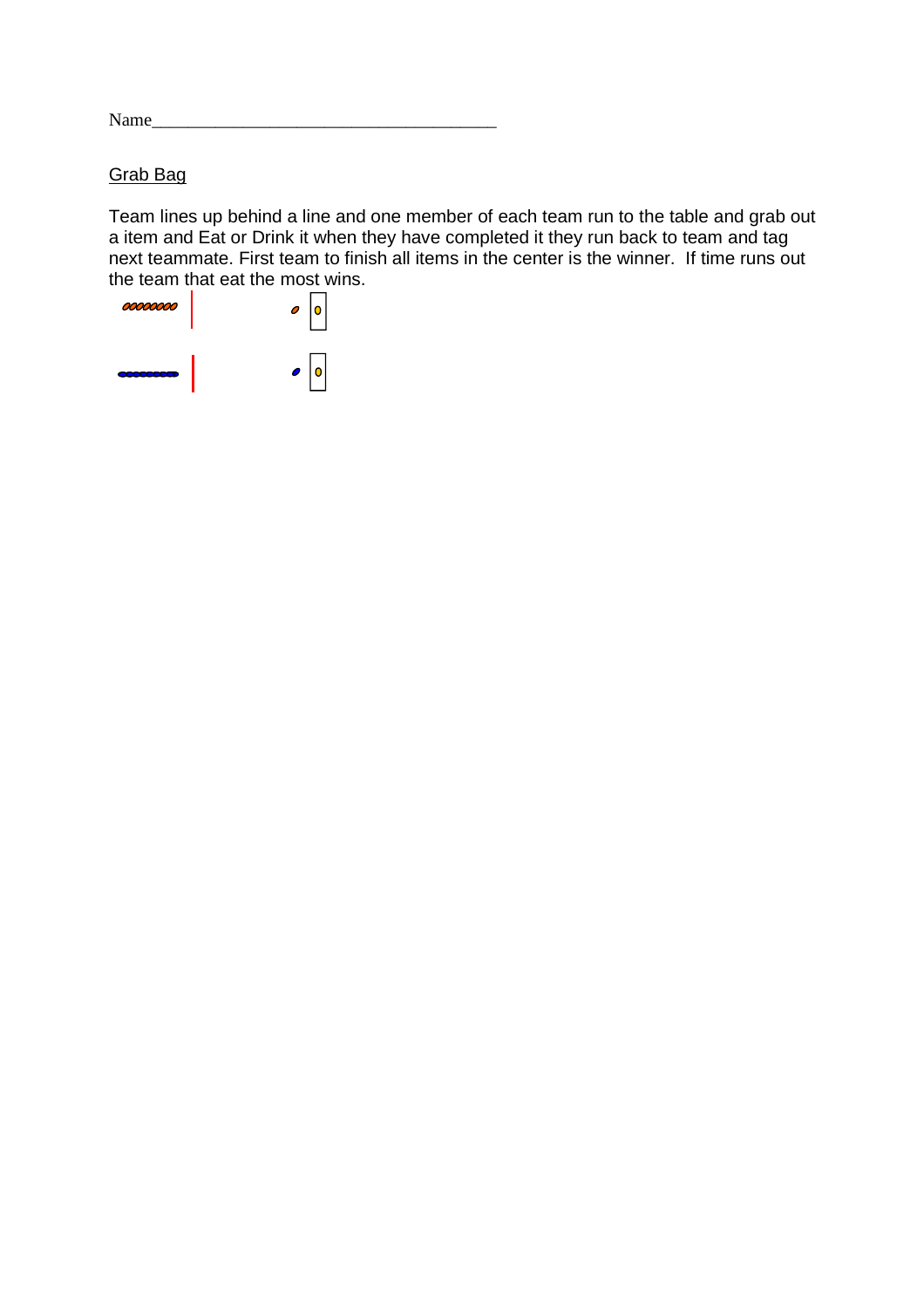### Grab Bag

Team lines up behind a line and one member of each team run to the table and grab out a item and Eat or Drink it when they have completed it they run back to team and tag next teammate. First team to finish all items in the center is the winner. If time runs out the team that eat the most wins.

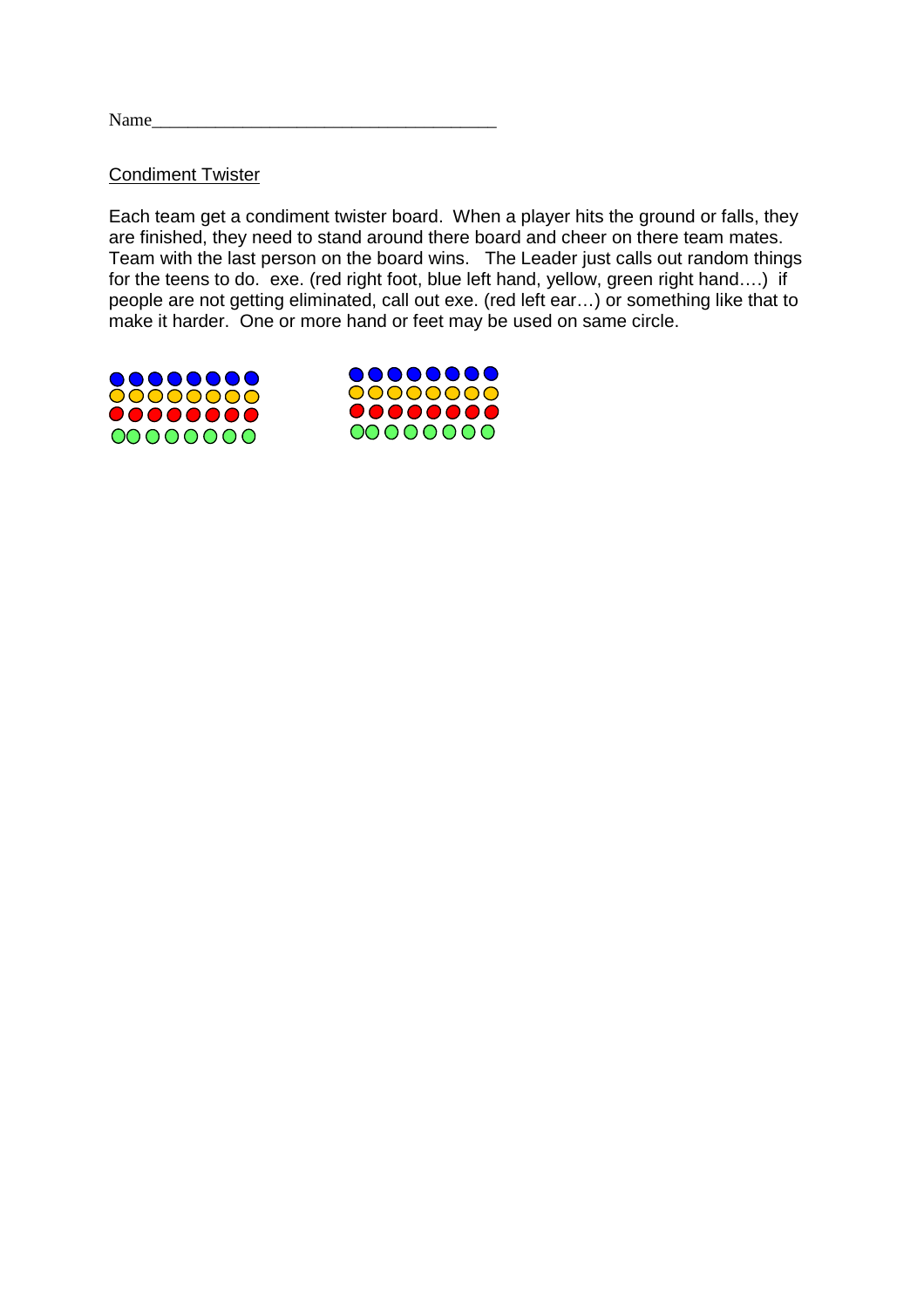#### Condiment Twister

Each team get a condiment twister board. When a player hits the ground or falls, they are finished, they need to stand around there board and cheer on there team mates. Team with the last person on the board wins. The Leader just calls out random things for the teens to do. exe. (red right foot, blue left hand, yellow, green right hand....) if people are not getting eliminated, call out exe. (red left ear…) or something like that to make it harder. One or more hand or feet may be used on same circle.



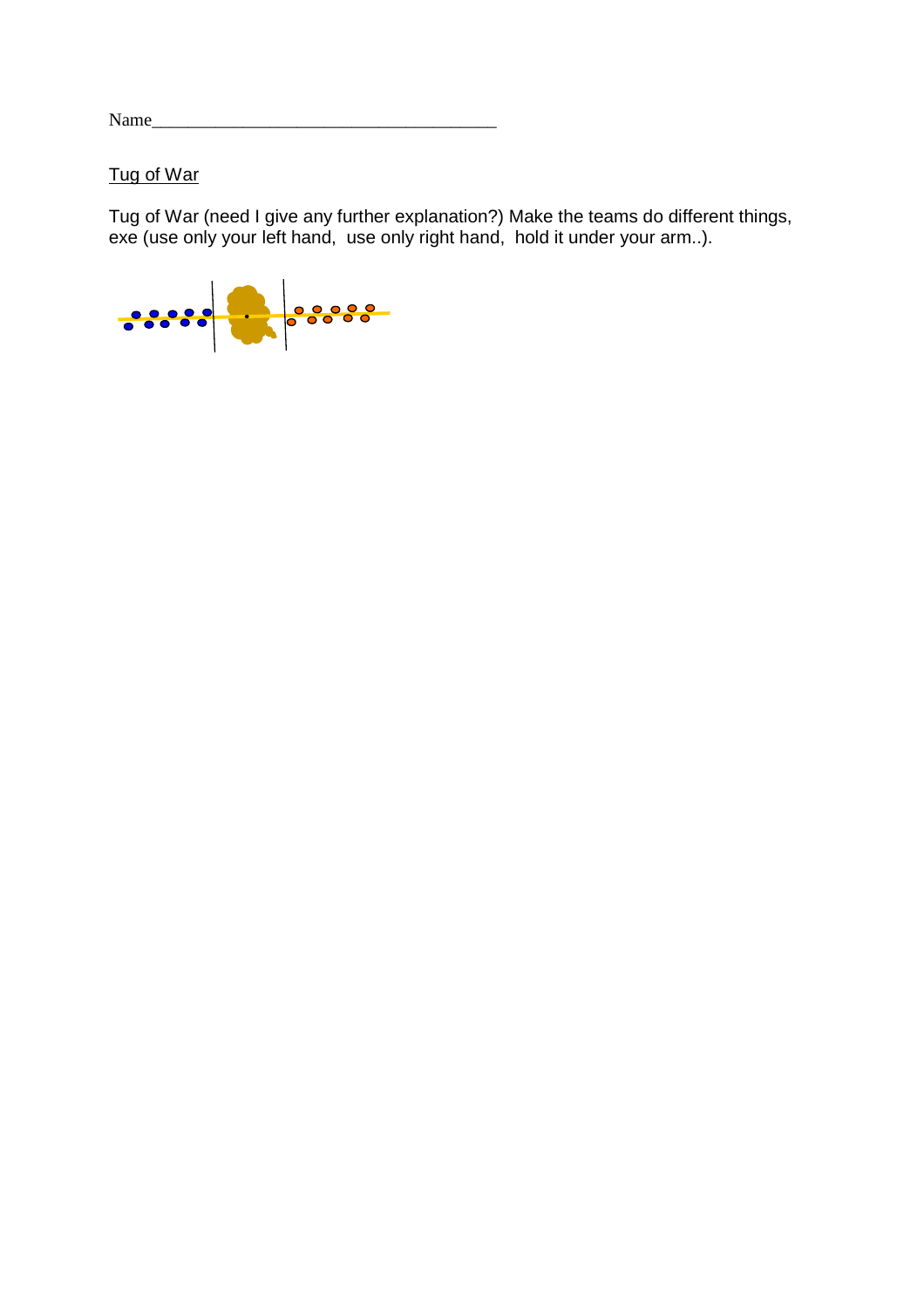Tug of War

Tug of War (need I give any further explanation?) Make the teams do different things, exe (use only your left hand, use only right hand, hold it under your arm..).

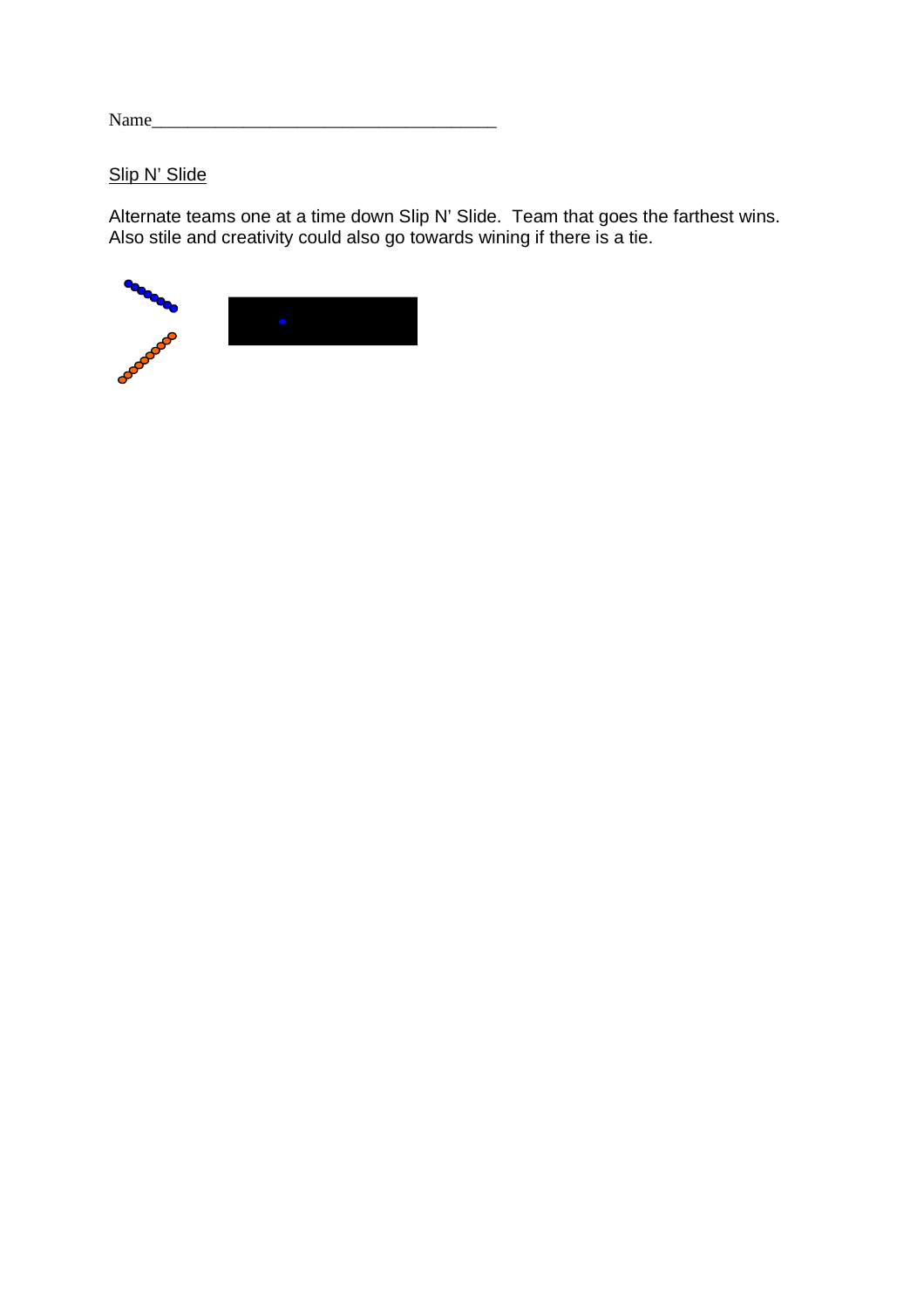### Slip N' Slide

Alternate teams one at a time down Slip N' Slide. Team that goes the farthest wins. Also stile and creativity could also go towards wining if there is a tie.